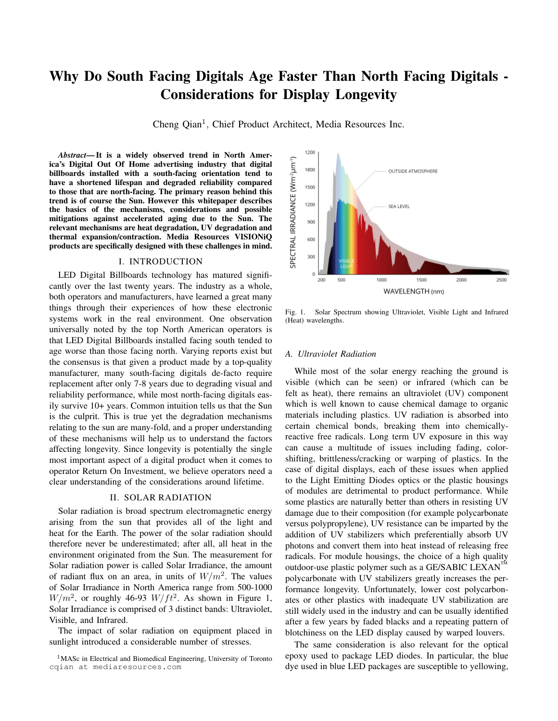# Why Do South Facing Digitals Age Faster Than North Facing Digitals - Considerations for Display Longevity

Cheng Qian<sup>1</sup>, Chief Product Architect, Media Resources Inc.

*Abstract*— It is a widely observed trend in North America's Digital Out Of Home advertising industry that digital billboards installed with a south-facing orientation tend to have a shortened lifespan and degraded reliability compared to those that are north-facing. The primary reason behind this trend is of course the Sun. However this whitepaper describes the basics of the mechanisms, considerations and possible mitigations against accelerated aging due to the Sun. The relevant mechanisms are heat degradation, UV degradation and thermal expansion/contraction. Media Resources VISIONiQ products are specifically designed with these challenges in mind.

## I. INTRODUCTION

LED Digital Billboards technology has matured significantly over the last twenty years. The industry as a whole, both operators and manufacturers, have learned a great many things through their experiences of how these electronic systems work in the real environment. One observation universally noted by the top North American operators is that LED Digital Billboards installed facing south tended to age worse than those facing north. Varying reports exist but the consensus is that given a product made by a top-quality manufacturer, many south-facing digitals de-facto require replacement after only 7-8 years due to degrading visual and reliability performance, while most north-facing digitals easily survive 10+ years. Common intuition tells us that the Sun is the culprit. This is true yet the degradation mechanisms relating to the sun are many-fold, and a proper understanding of these mechanisms will help us to understand the factors affecting longevity. Since longevity is potentially the single most important aspect of a digital product when it comes to operator Return On Investment, we believe operators need a clear understanding of the considerations around lifetime.

### II. SOLAR RADIATION

Solar radiation is broad spectrum electromagnetic energy arising from the sun that provides all of the light and heat for the Earth. The power of the solar radiation should therefore never be underestimated; after all, all heat in the environment originated from the Sun. The measurement for Solar radiation power is called Solar Irradiance, the amount of radiant flux on an area, in units of  $W/m^2$ . The values of Solar Irradiance in North America range from 500-1000  $W/m^2$ , or roughly 46-93  $W/ft^2$ . As shown in Figure 1, Solar Irradiance is comprised of 3 distinct bands: Ultraviolet, Visible, and Infrared.

The impact of solar radiation on equipment placed in sunlight introduced a considerable number of stresses.



Fig. 1. Solar Spectrum showing Ultraviolet, Visible Light and Infrared (Heat) wavelengths.

#### *A. Ultraviolet Radiation*

While most of the solar energy reaching the ground is visible (which can be seen) or infrared (which can be felt as heat), there remains an ultraviolet (UV) component which is well known to cause chemical damage to organic materials including plastics. UV radiation is absorbed into certain chemical bonds, breaking them into chemicallyreactive free radicals. Long term UV exposure in this way can cause a multitude of issues including fading, colorshifting, brittleness/cracking or warping of plastics. In the case of digital displays, each of these issues when applied to the Light Emitting Diodes optics or the plastic housings of modules are detrimental to product performance. While some plastics are naturally better than others in resisting UV damage due to their composition (for example polycarbonate versus polypropylene), UV resistance can be imparted by the addition of UV stabilizers which preferentially absorb UV photons and convert them into heat instead of releasing free radicals. For module housings, the choice of a high quality outdoor-use plastic polymer such as a GE/SABIC LEXAN<sup>TM</sup> polycarbonate with UV stabilizers greatly increases the performance longevity. Unfortunately, lower cost polycarbonates or other plastics with inadequate UV stabilization are still widely used in the industry and can be usually identified after a few years by faded blacks and a repeating pattern of blotchiness on the LED display caused by warped louvers.

The same consideration is also relevant for the optical epoxy used to package LED diodes. In particular, the blue dye used in blue LED packages are susceptible to yellowing,

<sup>1</sup>MASc in Electrical and Biomedical Engineering, University of Toronto cqian at mediaresources.com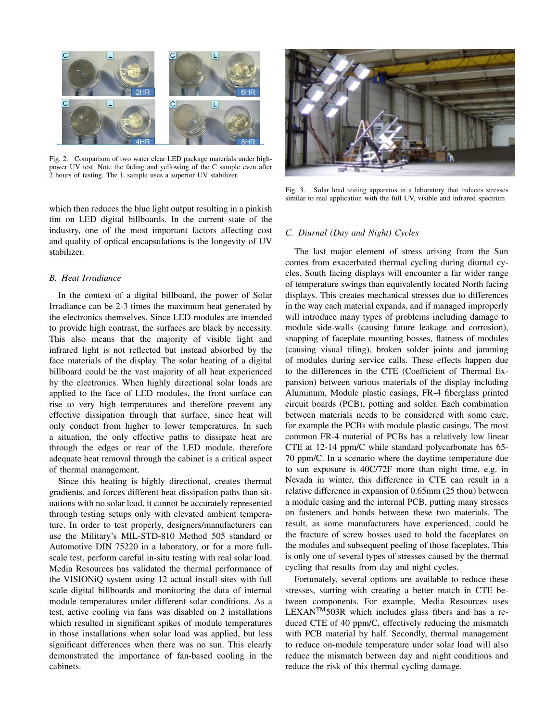

Fig. 2. Comparison of two water clear LED package materials under highpower UV test. Note the fading and yellowing of the C sample even after 2 hours of testing. The L sample uses a superior UV stabilizer.

which then reduces the blue light output resulting in a pinkish tint on LED digital billboards. In the current state of the industry, one of the most important factors affecting cost and quality of optical encapsulations is the longevity of UV stabilizer.

#### *B. Heat Irradiance*

In the context of a digital billboard, the power of Solar Irradiance can be 2-3 times the maximum heat generated by the electronics themselves. Since LED modules are intended to provide high contrast, the surfaces are black by necessity. This also means that the majority of visible light and infrared light is not reflected but instead absorbed by the face materials of the display. The solar heating of a digital billboard could be the vast majority of all heat experienced by the electronics. When highly directional solar loads are applied to the face of LED modules, the front surface can rise to very high temperatures and therefore prevent any effective dissipation through that surface, since heat will only conduct from higher to lower temperatures. In such a situation, the only effective paths to dissipate heat are through the edges or rear of the LED module, therefore adequate heat removal through the cabinet is a critical aspect of thermal management.

Since this heating is highly directional, creates thermal gradients, and forces different heat dissipation paths than situations with no solar load, it cannot be accurately represented through testing setups only with elevated ambient temperature. In order to test properly, designers/manufacturers can use the Military's MIL-STD-810 Method 505 standard or Automotive DIN 75220 in a laboratory, or for a more fullscale test, perform careful in-situ testing with real solar load. Media Resources has validated the thermal performance of the VISIONiQ system using 12 actual install sites with full scale digital billboards and monitoring the data of internal module temperatures under different solar conditions. As a test, active cooling via fans was disabled on 2 installations which resulted in significant spikes of module temperatures in those installations when solar load was applied, but less significant differences when there was no sun. This clearly demonstrated the importance of fan-based cooling in the cabinets.



Fig. 3. Solar load testing apparatus in a laboratory that induces stresses similar to real application with the full UV, visible and infrared spectrum

#### *C. Diurnal (Day and Night) Cycles*

The last major element of stress arising from the Sun comes from exacerbated thermal cycling during diurnal cycles. South facing displays will encounter a far wider range of temperature swings than equivalently located North facing displays. This creates mechanical stresses due to differences in the way each material expands, and if managed improperly will introduce many types of problems including damage to module side-walls (causing future leakage and corrosion), snapping of faceplate mounting bosses, flatness of modules (causing visual tiling), broken solder joints and jamming of modules during service calls. These effects happen due to the differences in the CTE (Coefficient of Thermal Expansion) between various materials of the display including Aluminum, Module plastic casings, FR-4 fiberglass printed circuit boards (PCB), potting and solder. Each combination between materials needs to be considered with some care, for example the PCBs with module plastic casings. The most common FR-4 material of PCBs has a relatively low linear CTE at 12-14 ppm/C while standard polycarbonate has 65- 70 ppm/C. In a scenario where the daytime temperature due to sun exposure is 40C/72F more than night time, e.g. in Nevada in winter, this difference in CTE can result in a relative difference in expansion of 0.65mm (25 thou) between a module casing and the internal PCB, putting many stresses on fasteners and bonds between these two materials. The result, as some manufacturers have experienced, could be the fracture of screw bosses used to hold the faceplates on the modules and subsequent peeling of those faceplates. This is only one of several types of stresses caused by the thermal cycling that results from day and night cycles.

Fortunately, several options are available to reduce these stresses, starting with creating a better match in CTE between components. For example, Media Resources uses  $LEXAN^{TM}$ 503R which includes glass fibers and has a reduced CTE of 40 ppm/C, effectively reducing the mismatch with PCB material by half. Secondly, thermal management to reduce on-module temperature under solar load will also reduce the mismatch between day and night conditions and reduce the risk of this thermal cycling damage.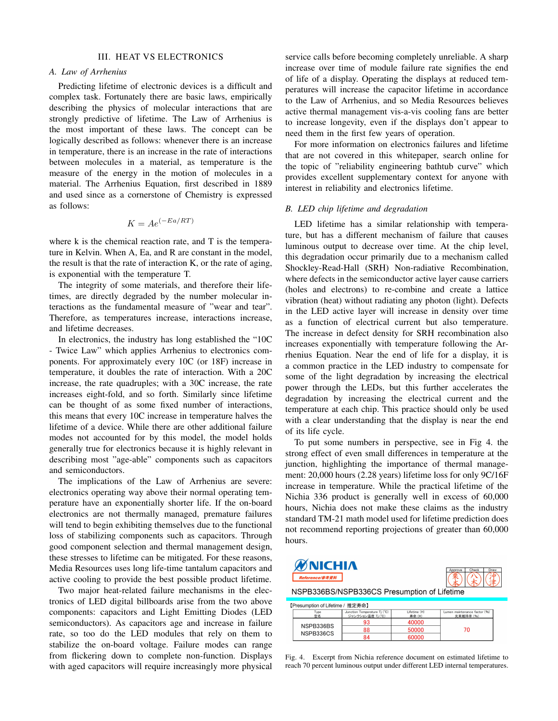#### III. HEAT VS ELECTRONICS

## *A. Law of Arrhenius*

Predicting lifetime of electronic devices is a difficult and complex task. Fortunately there are basic laws, empirically describing the physics of molecular interactions that are strongly predictive of lifetime. The Law of Arrhenius is the most important of these laws. The concept can be logically described as follows: whenever there is an increase in temperature, there is an increase in the rate of interactions between molecules in a material, as temperature is the measure of the energy in the motion of molecules in a material. The Arrhenius Equation, first described in 1889 and used since as a cornerstone of Chemistry is expressed as follows:

$$
K = Ae^{(-Ea/RT)}
$$

where k is the chemical reaction rate, and T is the temperature in Kelvin. When A, Ea, and R are constant in the model, the result is that the rate of interaction K, or the rate of aging, is exponential with the temperature T.

The integrity of some materials, and therefore their lifetimes, are directly degraded by the number molecular interactions as the fundamental measure of "wear and tear". Therefore, as temperatures increase, interactions increase, and lifetime decreases.

In electronics, the industry has long established the "10C - Twice Law" which applies Arrhenius to electronics components. For approximately every 10C (or 18F) increase in temperature, it doubles the rate of interaction. With a 20C increase, the rate quadruples; with a 30C increase, the rate increases eight-fold, and so forth. Similarly since lifetime can be thought of as some fixed number of interactions, this means that every 10C increase in temperature halves the lifetime of a device. While there are other additional failure modes not accounted for by this model, the model holds generally true for electronics because it is highly relevant in describing most "age-able" components such as capacitors and semiconductors.

The implications of the Law of Arrhenius are severe: electronics operating way above their normal operating temperature have an exponentially shorter life. If the on-board electronics are not thermally managed, premature failures will tend to begin exhibiting themselves due to the functional loss of stabilizing components such as capacitors. Through good component selection and thermal management design, these stresses to lifetime can be mitigated. For these reasons, Media Resources uses long life-time tantalum capacitors and active cooling to provide the best possible product lifetime.

Two major heat-related failure mechanisms in the electronics of LED digital billboards arise from the two above components: capacitors and Light Emitting Diodes (LED semiconductors). As capacitors age and increase in failure rate, so too do the LED modules that rely on them to stabilize the on-board voltage. Failure modes can range from flickering down to complete non-function. Displays with aged capacitors will require increasingly more physical

service calls before becoming completely unreliable. A sharp increase over time of module failure rate signifies the end of life of a display. Operating the displays at reduced temperatures will increase the capacitor lifetime in accordance to the Law of Arrhenius, and so Media Resources believes active thermal management vis-a-vis cooling fans are better to increase longevity, even if the displays don't appear to need them in the first few years of operation.

For more information on electronics failures and lifetime that are not covered in this whitepaper, search online for the topic of "reliability engineering bathtub curve" which provides excellent supplementary context for anyone with interest in reliability and electronics lifetime.

### *B. LED chip lifetime and degradation*

LED lifetime has a similar relationship with temperature, but has a different mechanism of failure that causes luminous output to decrease over time. At the chip level, this degradation occur primarily due to a mechanism called Shockley-Read-Hall (SRH) Non-radiative Recombination, where defects in the semiconductor active layer cause carriers (holes and electrons) to re-combine and create a lattice vibration (heat) without radiating any photon (light). Defects in the LED active layer will increase in density over time as a function of electrical current but also temperature. The increase in defect density for SRH recombination also increases exponentially with temperature following the Arrhenius Equation. Near the end of life for a display, it is a common practice in the LED industry to compensate for some of the light degradation by increasing the electrical power through the LEDs, but this further accelerates the degradation by increasing the electrical current and the temperature at each chip. This practice should only be used with a clear understanding that the display is near the end of its life cycle.

To put some numbers in perspective, see in Fig 4. the strong effect of even small differences in temperature at the junction, highlighting the importance of thermal management: 20,000 hours (2.28 years) lifetime loss for only 9C/16F increase in temperature. While the practical lifetime of the Nichia 336 product is generally well in excess of 60,000 hours, Nichia does not make these claims as the industry standard TM-21 math model used for lifetime prediction does not recommend reporting projections of greater than 60,000 hours.





NSPB336BS/NSPB336CS Presumption of Lifetime

TPresumption of Lifetime / 堆宁丰会】

|  | Type<br>型名             | Junction Temperature Ti (°C)<br>ジャンクション温度 Tj (°C) | Lifetime (H)<br>寿命(H) | Lumen maintenance factor (%)<br>光東維持率 (%) |
|--|------------------------|---------------------------------------------------|-----------------------|-------------------------------------------|
|  | NSPB336BS<br>NSPB336CS | 93                                                | 40000                 |                                           |
|  |                        | 88                                                | 50000                 |                                           |
|  |                        | 84                                                | 60000                 |                                           |

Fig. 4. Excerpt from Nichia reference document on estimated lifetime to reach 70 percent luminous output under different LED internal temperatures.